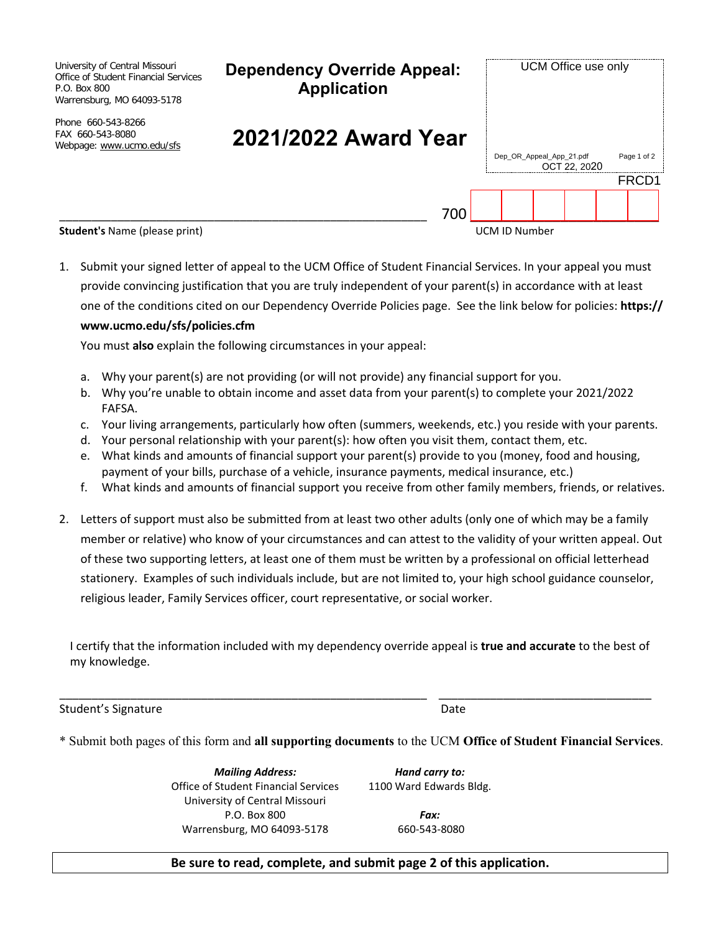| University of Central Missouri<br>Office of Student Financial Services<br>P.O. Box 800<br>Warrensburg, MO 64093-5178 | <b>Dependency Override Appeal:</b><br><b>Application</b> | UCM Office use only  |                          |              |  |             |  |  |
|----------------------------------------------------------------------------------------------------------------------|----------------------------------------------------------|----------------------|--------------------------|--------------|--|-------------|--|--|
| Phone 660-543-8266<br>FAX 660-543-8080<br>Webpage: www.ucmo.edu/sfs                                                  | 2021/2022 Award Year                                     |                      | Dep_OR_Appeal_App_21.pdf | OCT 22, 2020 |  | Page 1 of 2 |  |  |
|                                                                                                                      |                                                          | FRCD1                |                          |              |  |             |  |  |
|                                                                                                                      | 700                                                      |                      |                          |              |  |             |  |  |
| <b>Student's Name (please print)</b>                                                                                 |                                                          | <b>UCM ID Number</b> |                          |              |  |             |  |  |

1. Submit your signed letter of appeal to the UCM Office of Student Financial Services. In your appeal you must provide convincing justification that you are truly independent of your parent(s) in accordance with at least one of the conditions cited on our Dependency Override Policies page. See the link below for policies: **https:// www.ucmo.edu/sfs/policies.cfm**

You must **also** explain the following circumstances in your appeal:

- a. Why your parent(s) are not providing (or will not provide) any financial support for you.
- b. Why you're unable to obtain income and asset data from your parent(s) to complete your 2021/2022 FAFSA.
- c. Your living arrangements, particularly how often (summers, weekends, etc.) you reside with your parents.
- d. Your personal relationship with your parent(s): how often you visit them, contact them, etc.
- e. What kinds and amounts of financial support your parent(s) provide to you (money, food and housing, payment of your bills, purchase of a vehicle, insurance payments, medical insurance, etc.)
- f. What kinds and amounts of financial support you receive from other family members, friends, or relatives.
- 2. Letters of support must also be submitted from at least two other adults (only one of which may be a family member or relative) who know of your circumstances and can attest to the validity of your written appeal. Out of these two supporting letters, at least one of them must be written by a professional on official letterhead stationery. Examples of such individuals include, but are not limited to, your high school guidance counselor, religious leader, Family Services officer, court representative, or social worker.

I certify that the information included with my dependency override appeal is **true and accurate** to the best of my knowledge.

\_\_\_\_\_\_\_\_\_\_\_\_\_\_\_\_\_\_\_\_\_\_\_\_\_\_\_\_\_\_\_\_\_\_\_\_\_\_\_\_\_\_\_\_\_\_\_\_\_\_\_\_\_\_\_\_\_ \_\_\_\_\_\_\_\_\_\_\_\_\_\_\_\_\_\_\_\_\_\_\_\_\_\_\_\_\_\_\_\_\_

Student's Signature Date Date Date Date

\* Submit both pages of this form and **all supporting documents** to the UCM **Office of Student Financial Services**.

*Mailing Address:* Office of Student Financial Services University of Central Missouri P.O. Box 800 Warrensburg, MO 64093-5178

*Hand carry to:* 1100 Ward Edwards Bldg.

> *Fax:* 660-543-8080